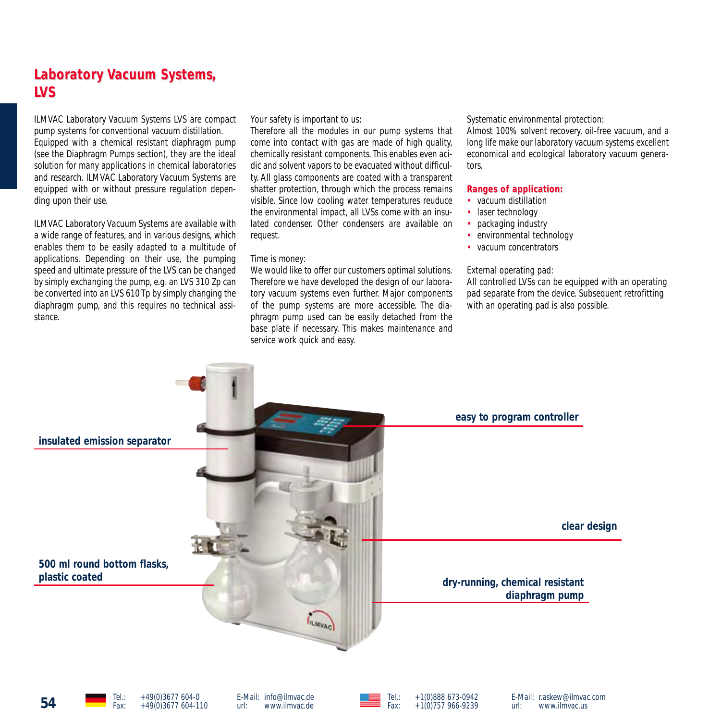## **Laboratory Vacuum Systems, LVS**

ILMVAC Laboratory Vacuum Systems LVS are compact pump systems for conventional vacuum distillation. Equipped with a chemical resistant diaphragm pump (see the Diaphragm Pumps section), they are the ideal solution for many applications in chemical laboratories and research. ILMVAC Laboratory Vacuum Systems are equipped with or without pressure regulation depending upon their use.

ILMVAC Laboratory Vacuum Systems are available with a wide range of features, and in various designs, which enables them to be easily adapted to a multitude of applications. Depending on their use, the pumping speed and ultimate pressure of the LVS can be changed by simply exchanging the pump, e.g. an LVS 310 Zp can be converted into an LVS 610 Tp by simply changing the diaphragm pump, and this requires no technical assistance.

Your safety is important to us:

Therefore all the modules in our pump systems that come into contact with gas are made of high quality, chemically resistant components. This enables even acidic and solvent vapors to be evacuated without difficulty. All glass components are coated with a transparent shatter protection, through which the process remains visible. Since low cooling water temperatures reuduce the environmental impact, all LVSs come with an insulated condenser. Other condensers are available on request.

#### Time is money:

We would like to offer our customers optimal solutions. Therefore we have developed the design of our laboratory vacuum systems even further. Major components of the pump systems are more accessible. The diaphragm pump used can be easily detached from the base plate if necessary. This makes maintenance and service work quick and easy.

Systematic environmental protection:

Almost 100% solvent recovery, oil-free vacuum, and a long life make our laboratory vacuum systems excellent economical and ecological laboratory vacuum generators.

#### **Ranges of application: Ranges of application:**

- vacuum distillation
- laser technology
- packaging industry
- environmental technology
- vacuum concentrators

#### External operating pad:

All controlled LVSs can be equipped with an operating pad separate from the device. Subsequent retrofitting with an operating pad is also possible.

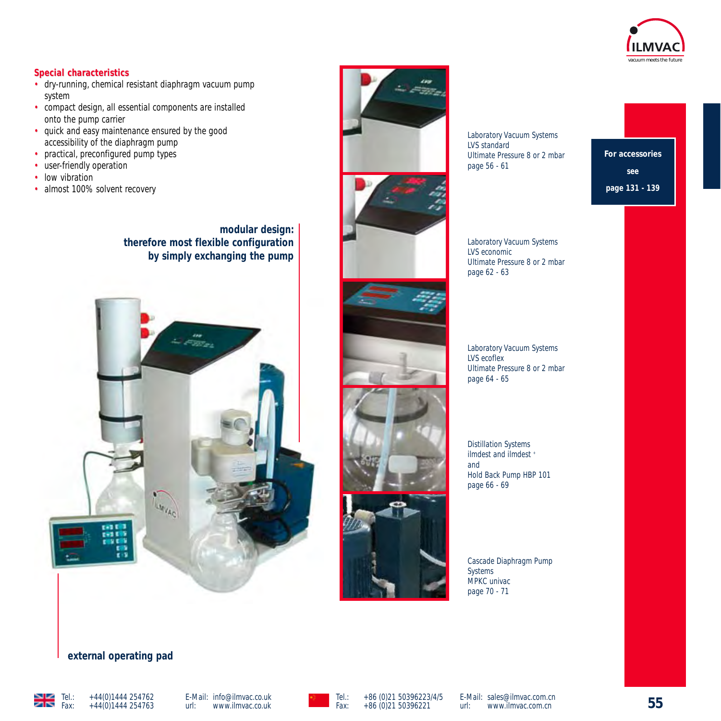

#### **Special characteristics**

- dry-running, chemical resistant diaphragm vacuum pump system
- compact design, all essential components are installed onto the pump carrier
- quick and easy maintenance ensured by the good accessibility of the diaphragm pump
- practical, preconfigured pump types
- user-friendly operation
- low vibration
- almost 100% solvent recovery

**modular design: therefore most flexible configuration by simply exchanging the pump**





Laboratory Vacuum Systems LVS standard Ultimate Pressure 8 or 2 mbar page 56 - 61

**For accessories see page 131 - 139**

Laboratory Vacuum Systems LVS economic Ultimate Pressure 8 or 2 mbar page 62 - 63

Laboratory Vacuum Systems LVS ecoflex Ultimate Pressure 8 or 2 mbar page 64 - 65

Distillation Systems ilmdest and ilmdest + and Hold Back Pump HBP 101 page 66 - 69

Cascade Diaphragm Pump Systems MPKC univac page 70 - 71

#### **external operating pad**



E-Mail: info@ilmvac.co.uk<br>url: www.ilmvac.co.uk url: www.ilmvac.co.uk



E-Mail: sales@ilmvac.com.cn<br>url: www.ilmvac.com.cn www.ilmvac.com.cn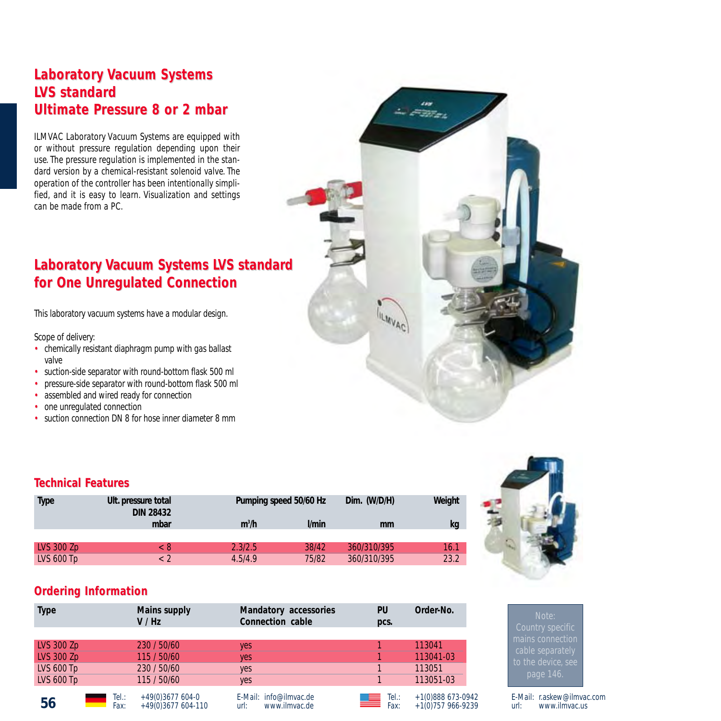## **Laboratory Vacuum Systems LVS standard Ultimate Pressure 8 or 2 mbar**

ILMVAC Laboratory Vacuum Systems are equipped with or without pressure regulation depending upon their use. The pressure regulation is implemented in the standard version by a chemical-resistant solenoid valve. The operation of the controller has been intentionally simplified, and it is easy to learn. Visualization and settings can be made from a PC.

# **Laboratory Vacuum Systems LVS standard for One Unregulated Connection**

This laboratory vacuum systems have a modular design.

#### Scope of delivery:

- chemically resistant diaphragm pump with gas ballast valve
- suction-side separator with round-bottom flask 500 ml
- pressure-side separator with round-bottom flask 500 ml
- assembled and wired ready for connection
- one unregulated connection
- suction connection DN 8 for hose inner diameter 8 mm

## **Technical F echnical Features**

| Type         | Ult. pressure total<br><b>DIN 28432</b> | Pumping speed 50/60 Hz |              | Dim. (W/D/H) | Weight |
|--------------|-----------------------------------------|------------------------|--------------|--------------|--------|
|              | mbar                                    | $m^3/h$                | <i>V</i> min | mm           | kg     |
| LVS 300 Zp   | - 8                                     | 2.3/2.5                | 38/42        | 360/310/395  | 16.1   |
| LVS $600$ Tp | < 2                                     | 4.5/4.9                | 75/82        | 360/310/395  | 23.2   |

## **Ordering Information**

| <b>Type</b>       |              | Mains supply<br>V / Hz                  | Mandatory accessories<br>Connection cable       | PU<br>pcs.             | Order-No.                               |
|-------------------|--------------|-----------------------------------------|-------------------------------------------------|------------------------|-----------------------------------------|
|                   |              |                                         |                                                 |                        |                                         |
| <b>LVS 300 Zp</b> |              | 230 / 50/60                             | ves                                             |                        | 113041                                  |
| <b>LVS 300 Zp</b> |              | 115 / 50/60                             | yes                                             |                        | 113041-03                               |
| <b>LVS 600 Tp</b> |              | 230 / 50/60                             | yes                                             |                        | 113051                                  |
| <b>LVS 600 Tp</b> |              | 115 / 50/60                             | yes                                             |                        | 113051-03                               |
| 56                | Tel:<br>Fax: | $+49(0)3677604-0$<br>+49(0)3677 604-110 | E-Mail: info@ilmvac.de<br>www.ilmvac.de<br>url: | $Tel$ :<br>ظهر<br>Fax: | $+1(0)888673-0942$<br>+1(0)757 966-9239 |



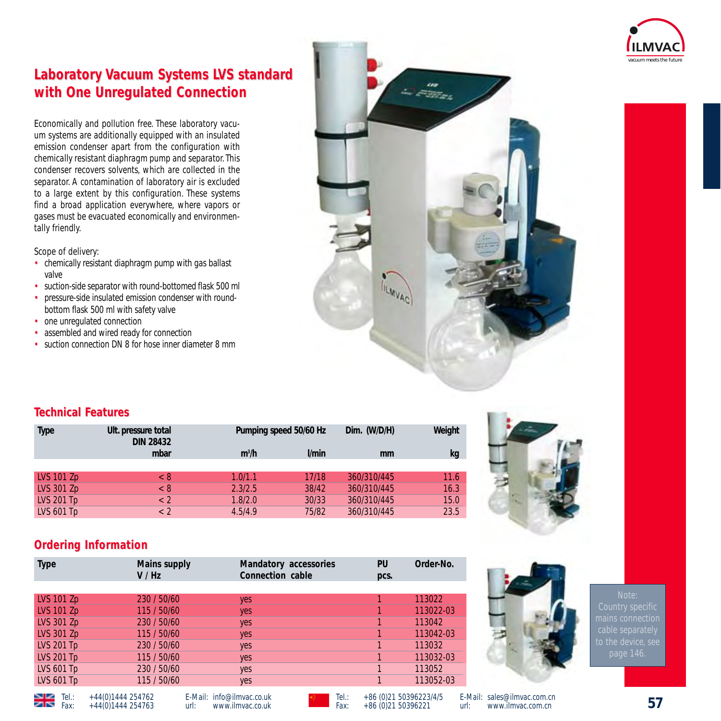

# **Laboratory Vacuum Systems LVS standard with One Unregulated Connection**

Economically and pollution free. These laboratory vacuum systems are additionally equipped with an insulated emission condenser apart from the configuration with chemically resistant diaphragm pump and separator.This condenser recovers solvents, which are collected in the separator. A contamination of laboratory air is excluded to a large extent by this configuration. These systems find a broad application everywhere, where vapors or gases must be evacuated economically and environmentally friendly.

Scope of delivery:

- chemically resistant diaphragm pump with gas ballast valve
- suction-side separator with round-bottomed flask 500 ml
- pressure-side insulated emission condenser with roundbottom flask 500 ml with safety valve
- one unregulated connection
- assembled and wired ready for connection
- suction connection DN 8 for hose inner diameter 8 mm



## **Technical F echnical Features**

| Type              | Ult. pressure total<br><b>DIN 28432</b> | Pumping speed 50/60 Hz |                    | Dim. (W/D/H) | Weight |
|-------------------|-----------------------------------------|------------------------|--------------------|--------------|--------|
|                   | mbar                                    | m <sup>3</sup> /h      | <i><u>Vmin</u></i> | mm           | kg     |
|                   |                                         |                        |                    |              |        |
| <b>LVS 101 Zp</b> | < 8                                     | 1.0/1.1                | 17/18              | 360/310/445  | 11.6   |
| <b>LVS 301 Zp</b> | $\langle 8 \rangle$                     | 2.3/2.5                | 38/42              | 360/310/445  | 16.3   |
| LVS 201 $Tp$      | $\lt 2$                                 | 1.8/2.0                | 30/33              | 360/310/445  | 15.0   |
| LVS 601 Tp        | $\lt 2$                                 | 4.5/4.9                | 75/82              | 360/310/445  | 23.5   |



## **Ordering Information**

| <b>Type</b>       | Mains supply<br>V/Hz | Mandatory accessories<br>Connection cable | PU<br>pcs. | Order-No. |
|-------------------|----------------------|-------------------------------------------|------------|-----------|
|                   |                      |                                           |            |           |
| LVS 101 Zp        | 230 / 50/60          | yes                                       |            | 113022    |
| <b>LVS 101 Zp</b> | 115 / 50/60          | yes                                       |            | 113022-03 |
| LVS 301 Zp        | 230 / 50/60          | yes                                       |            | 113042    |
| LVS 301 Zp        | 115 / 50/60          | yes                                       |            | 113042-03 |
| <b>LVS 201 Tp</b> | 230 / 50/60          | yes                                       |            | 113032    |
| <b>LVS 201 Tp</b> | 115 / 50/60          | yes                                       |            | 113032-03 |
| <b>LVS 601 Tp</b> | 230 / 50/60          | yes                                       |            | 113052    |
| <b>LVS 601 Tp</b> | 115 / 50/60          | yes                                       |            | 113052-03 |



to the device, see

 $\overline{\phantom{0}}$  Fax:  $+44(0)1444254763$ 

E-Mail: info@ilmvac.co.uk<br>url: www.ilmvac.co.uk url: www.ilmvac.co.uk

Tel.: +86 (0)21 50396223/4/5<br>Fax: +86 (0)21 50396221 Fax: +86 (0)21 50396221

**57** Tel.: +44(0)1444 254762 E-Mail: sales@ilmvac.com.cn<br>url: www.ilmvac.com.cn www.ilmvac.com.cn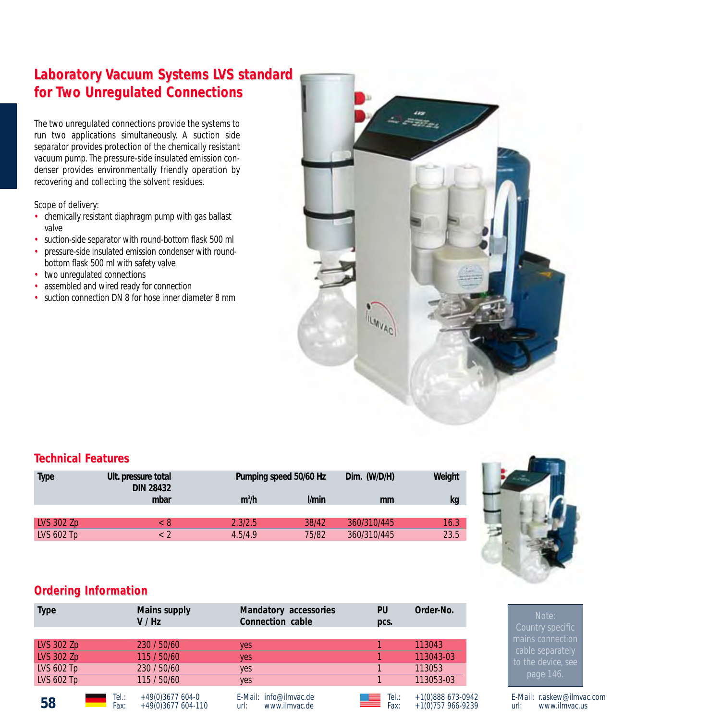# **Laboratory Vacuum Systems LVS standard for Two Unregulated Connections egulated Connections**

The two unregulated connections provide the systems to run two applications simultaneously. A suction side separator provides protection of the chemically resistant vacuum pump. The pressure-side insulated emission condenser provides environmentally friendly operation by recovering and collecting the solvent residues.

Scope of delivery:

- chemically resistant diaphragm pump with gas ballast valve
- suction-side separator with round-bottom flask 500 ml
- pressure-side insulated emission condenser with roundbottom flask 500 ml with safety valve
- two unregulated connections
- assembled and wired ready for connection
- suction connection DN 8 for hose inner diameter 8 mm



#### **Technical F echnical Features**

| <b>Type</b> | Ult. pressure total<br><b>DIN 28432</b> | Pumping speed 50/60 Hz                  | Dim. (W/D/H) | Weight |
|-------------|-----------------------------------------|-----------------------------------------|--------------|--------|
|             | mbar                                    | m <sup>3</sup> /h<br><i><u>Vmin</u></i> | mm           | kg     |
| LVS 302 Zp  | < 8                                     | 38/42<br>2.3/2.5                        | 360/310/445  | 16.3   |
| LVS 602 Tp  | < 2                                     | 75/82<br>4.5/4.9                        | 360/310/445  | 23.5   |



## **Ordering Information**

| <b>Type</b>                            |              | Mains supply<br>V / Hz                  | Mandatory accessories<br>Connection cable       | PU<br>pcs.        | Order-No.                                  |
|----------------------------------------|--------------|-----------------------------------------|-------------------------------------------------|-------------------|--------------------------------------------|
| LVS 302 Zp                             |              | 230 / 50/60                             | ves                                             |                   | 113043                                     |
| <b>LVS 302 Zp</b>                      |              | 115 / 50/60                             | yes                                             |                   | 113043-03                                  |
| <b>LVS 602 Tp</b><br><b>LVS 602 Tp</b> |              | 230 / 50/60<br>115 / 50/60              | yes<br>yes                                      |                   | 113053<br>113053-03                        |
| 58                                     | Tel:<br>Fax: | $+49(0)3677604-0$<br>+49(0)3677 604-110 | E-Mail: info@ilmvac.de<br>www.ilmvac.de<br>url: | Tel:<br>흘<br>Fax: | $+1(0)888673-0942$<br>$+1(0)$ 757 966-9239 |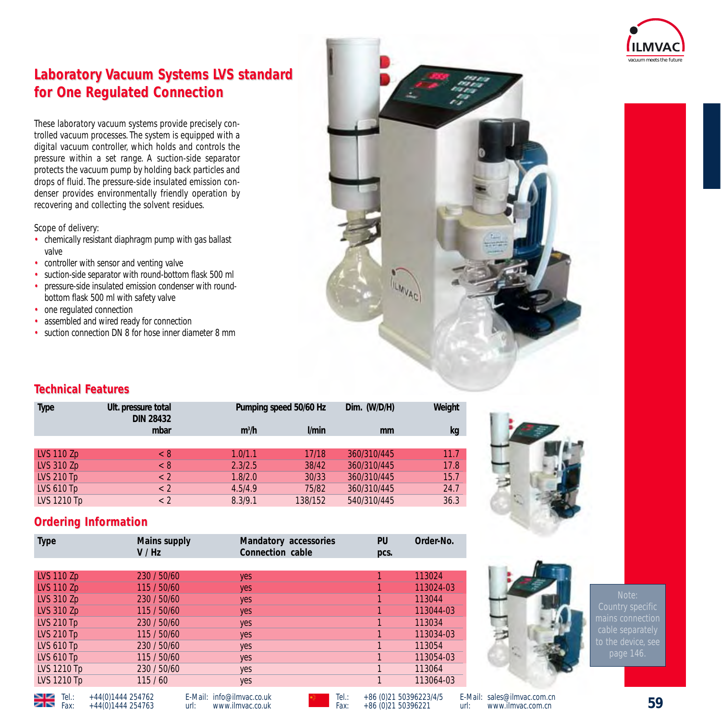

# **Laboratory Vacuum Systems LVS standard for One Regulated Connection for One Regulated Connection**

These laboratory vacuum systems provide precisely controlled vacuum processes. The system is equipped with a digital vacuum controller, which holds and controls the pressure within a set range. A suction-side separator protects the vacuum pump by holding back particles and drops of fluid. The pressure-side insulated emission condenser provides environmentally friendly operation by recovering and collecting the solvent residues.

Scope of delivery:

- chemically resistant diaphragm pump with gas ballast valve
- controller with sensor and venting valve
- suction-side separator with round-bottom flask 500 ml
- pressure-side insulated emission condenser with roundbottom flask 500 ml with safety valve
- one regulated connection
- assembled and wired ready for connection
- suction connection DN 8 for hose inner diameter 8 mm



## **Technical F echnical Features**

| <b>Type</b>        | Ult. pressure total<br><b>DIN 28432</b> | Pumping speed 50/60 Hz |                  | Dim. (W/D/H) | Weight |
|--------------------|-----------------------------------------|------------------------|------------------|--------------|--------|
|                    | mbar                                    | $m^3/h$                | V <sub>min</sub> | mm           | kg     |
|                    |                                         |                        |                  |              |        |
| <b>LVS 110 Zp</b>  | < 8                                     | 1.0/1.1                | 17/18            | 360/310/445  | 11.7   |
| <b>LVS 310 Zp</b>  | < 8                                     | 2.3/2.5                | 38/42            | 360/310/445  | 17.8   |
| <b>LVS 210 Tp</b>  | $\langle$ 2                             | 1.8/2.0                | 30/33            | 360/310/445  | 15.7   |
| <b>LVS 610 Tp</b>  | $\langle$ 2                             | 4.5/4.9                | 75/82            | 360/310/445  | 24.7   |
| <b>LVS 1210 Tp</b> | < 2                                     | 8.3/9.1                | 138/152          | 540/310/445  | 36.3   |



## **Ordering Information**

 $\overline{\phantom{0}}$  Fax:  $+44(0)1444254763$ 

| <b>Type</b>        | Mains supply<br>V/Hz | Mandatory accessories<br>Connection cable | PU<br>pcs. | Order-No. |
|--------------------|----------------------|-------------------------------------------|------------|-----------|
|                    |                      |                                           |            |           |
| <b>LVS 110 Zp</b>  | 230 / 50/60          | yes                                       |            | 113024    |
| <b>LVS 110 Zp</b>  | 115 / 50/60          | yes                                       |            | 113024-03 |
| <b>LVS 310 Zp</b>  | 230 / 50/60          | yes                                       |            | 113044    |
| <b>LVS 310 Zp</b>  | 115 / 50/60          | yes                                       |            | 113044-03 |
| <b>LVS 210 Tp</b>  | 230 / 50/60          | yes                                       |            | 113034    |
| <b>LVS 210 Tp</b>  | 115 / 50/60          | yes                                       |            | 113034-03 |
| <b>LVS 610 Tp</b>  | 230 / 50/60          | yes                                       |            | 113054    |
| <b>LVS 610 Tp</b>  | 115 / 50/60          | yes                                       |            | 113054-03 |
| <b>LVS 1210 Tp</b> | 230 / 50/60          | yes                                       |            | 113064    |
| <b>LVS 1210 Tp</b> | 115/60               | yes                                       |            | 113064-03 |

E-Mail: info@ilmvac.co.uk<br>url: www.ilmvac.co.uk url: www.ilmvac.co.uk



E-Mail: sales@ilmvac.com.cn<br>url: www.ilmvac.com.cn www.ilmvac.com.cn

mains connection to the device, se

Tel.: +44(0)1444 254762 E-Mail: info@ilmvac.co.uk **Tel.: +86 (0)21 50396223/4/5 E-**Mail: sales@ilmvac.com.cn<br>Fax: +44(0)1444 254763 url: www.ilmvac.co.uk Fax: +86 (0)21 50396221 url: www.ilmvac.com.cn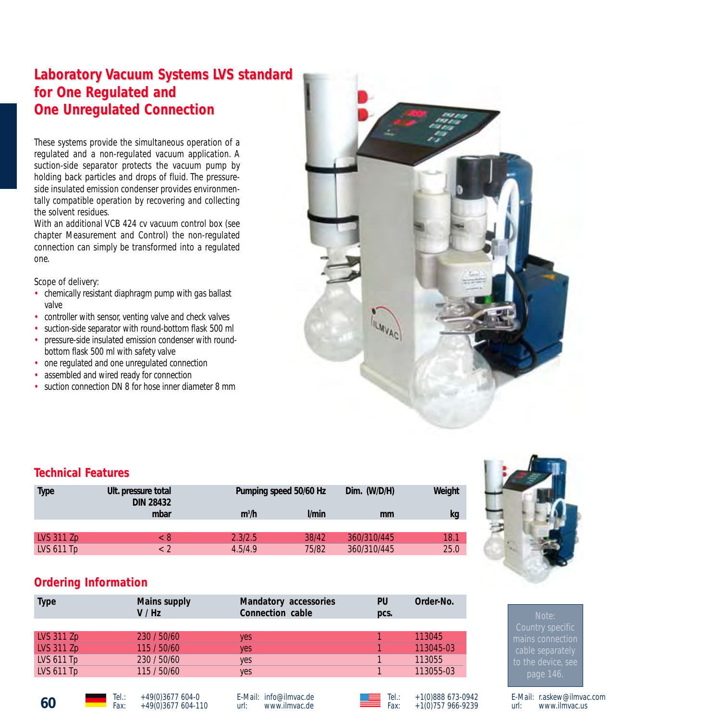# **Laboratory Vacuum Systems LVS standard** for One Regulated and **One Unregulated Connection**

These systems provide the simultaneous operation of a regulated and a non-regulated vacuum application. A suction-side separator protects the vacuum pump by holding back particles and drops of fluid. The pressureside insulated emission condenser provides environmentally compatible operation by recovering and collecting the solvent residues.

With an additional VCB 424 cv vacuum control box (see chapter Measurement and Control) the non-regulated connection can simply be transformed into a regulated one.

Scope of delivery:

- chemically resistant diaphragm pump with gas ballast valve
- controller with sensor, venting valve and check valves
- suction-side separator with round-bottom flask 500 ml
- pressure-side insulated emission condenser with roundbottom flask 500 ml with safety valve
- one regulated and one unregulated connection
- assembled and wired ready for connection
- suction connection DN 8 for hose inner diameter 8 mm



Tel.: +1(0)888 673-0942 Fax: +1(0)757 966-9239

| <b>Technical Features</b> |                                         |                        |                    |              |        |
|---------------------------|-----------------------------------------|------------------------|--------------------|--------------|--------|
| <b>Type</b>               | Ult. pressure total<br><b>DIN 28432</b> | Pumping speed 50/60 Hz |                    | Dim. (W/D/H) | Weight |
|                           | mbar                                    | $m^3/h$                | <i><b>Vmin</b></i> | mm           | kg     |
|                           |                                         |                        |                    |              |        |
| LVS 311 Zp                | < 8                                     | 2.3/2.5                | 38/42              | 360/310/445  | 18.1   |
| LVS 611 Tp                | $\langle$ 2                             | 4.5/4.9                | 75/82              | 360/310/445  | 25.0   |

## **Ordering Information**

| <b>Type</b>       | Mains supply<br>V / Hz | Mandatory accessories<br>Connection cable | PU<br>pcs. | Order-No. |
|-------------------|------------------------|-------------------------------------------|------------|-----------|
|                   |                        |                                           |            |           |
| <b>LVS 311 Zp</b> | 230 / 50/60            | ves                                       |            | 113045    |
| <b>LVS 311 Zp</b> | 115 / 50/60            | yes                                       |            | 113045-03 |
| LVS $611$ Tp      | 230 / 50/60            | yes                                       |            | 113055    |
| LVS $611$ Tp      | 115 / 50/60            | yes                                       |            | 113055-03 |
|                   |                        |                                           |            |           |

E-Mail: info@ilmvac.de<br>url: www.ilmvac.de www.ilmvac.de



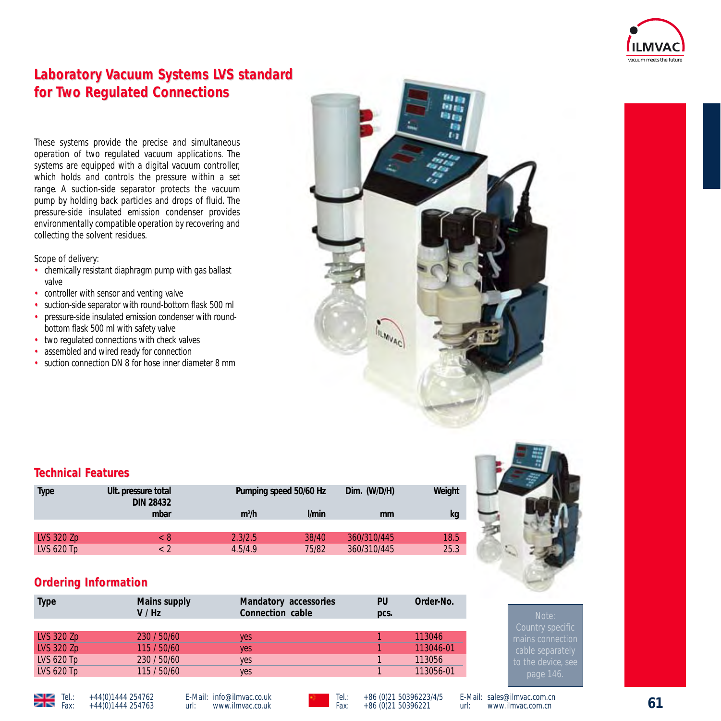

# **Laboratory Vacuum Systems LVS standard for Two Regulated Connections wo Regulated Connections**

These systems provide the precise and simultaneous operation of two regulated vacuum applications. The systems are equipped with a digital vacuum controller, which holds and controls the pressure within a set range. A suction-side separator protects the vacuum pump by holding back particles and drops of fluid. The pressure-side insulated emission condenser provides environmentally compatible operation by recovering and collecting the solvent residues.

Scope of delivery:

- chemically resistant diaphragm pump with gas ballast valve
- controller with sensor and venting valve
- suction-side separator with round-bottom flask 500 ml
- pressure-side insulated emission condenser with roundbottom flask 500 ml with safety valve
- two regulated connections with check valves
- assembled and wired ready for connection
- suction connection DN 8 for hose inner diameter 8 mm



| <b>Technical Features</b>                              |             |                        |       |                        |      |  |
|--------------------------------------------------------|-------------|------------------------|-------|------------------------|------|--|
| <b>Type</b><br>Ult. pressure total<br><b>DIN 28432</b> |             | Pumping speed 50/60 Hz |       | Weight<br>Dim. (W/D/H) |      |  |
|                                                        | mbar        | m <sup>3</sup> /h      | l/min | mm                     | kg   |  |
|                                                        |             |                        |       |                        |      |  |
| LVS 320 Zp                                             | < 8         | 2.3/2.5                | 38/40 | 360/310/445            | 18.5 |  |
| LVS 620 Tp                                             | $\langle$ 2 | 4.5/4.9                | 75/82 | 360/310/445            | 25.3 |  |

## **Ordering Information**

| <b>Type</b>       | Mains supply<br>V / Hz | Mandatory accessories<br>Connection cable | PU<br>pcs. | Order-No. |
|-------------------|------------------------|-------------------------------------------|------------|-----------|
|                   |                        |                                           |            |           |
| <b>LVS 320 Zp</b> | 230 / 50/60            | ves                                       |            | 113046    |
| <b>LVS 320 Zp</b> | 115 / 50/60            | yes                                       |            | 113046-01 |
| LVS 620 Tp        | 230 / 50/60            | yes                                       |            | 113056    |
| LVS 620 Tp        | 115 / 50/60            | yes                                       |            | 113056-01 |



mains connection





E-Mail: sales@ilmvac.com.cn<br>url: www.ilmvac.com.cn www.ilmvac.com.cn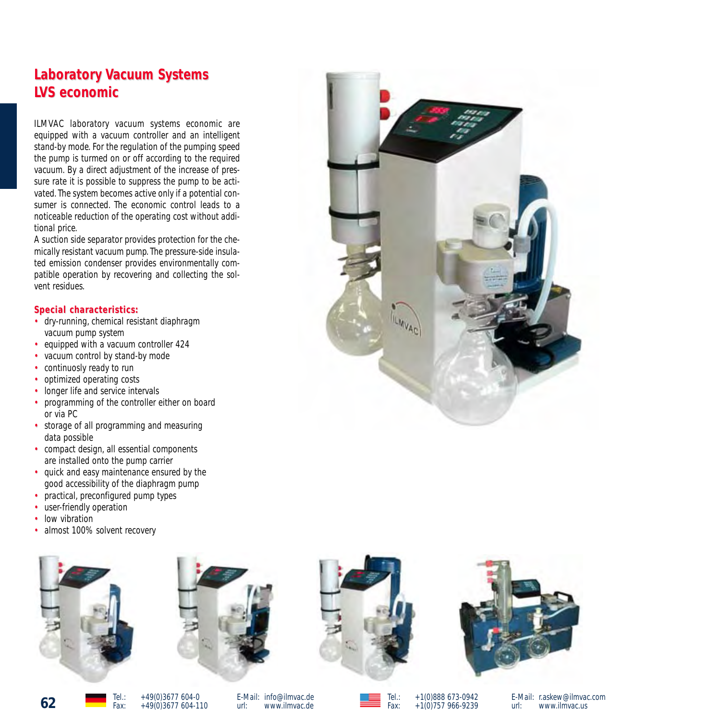# **Laboratory Vacuum Systems LVS economic VS economic**

ILMVAC laboratory vacuum systems economic are equipped with a vacuum controller and an intelligent stand-by mode. For the regulation of the pumping speed the pump is turmed on or off according to the required vacuum. By a direct adjustment of the increase of pressure rate it is possible to suppress the pump to be activated. The system becomes active only if a potential consumer is connected. The economic control leads to a noticeable reduction of the operating cost without additional price.

A suction side separator provides protection for the chemically resistant vacuum pump. The pressure-side insulated emission condenser provides environmentally compatible operation by recovering and collecting the solvent residues.

#### $Special characteristics:$

- dry-running, chemical resistant diaphragm vacuum pump system
- equipped with a vacuum controller 424
- vacuum control by stand-by mode
- continuosly ready to run
- optimized operating costs
- longer life and service intervals
- programming of the controller either on board or via PC
- storage of all programming and measuring data possible
- compact design, all essential components are installed onto the pump carrier
- quick and easy maintenance ensured by the good accessibility of the diaphragm pump
- practical, preconfigured pump types
- user-friendly operation
- low vibration
- almost 100% solvent recovery









**62** Tel.: +49(0)3677 604-0<br>Fax: +49(0)3677 604-110

E-Mail: info@ilmvac.de<br>url: www.ilmvac.de www.ilmvac.de

Tel.: +1(0)888 673-0942<br>Eav: +1(0)757 966-9239  $+1(0)757966-9239$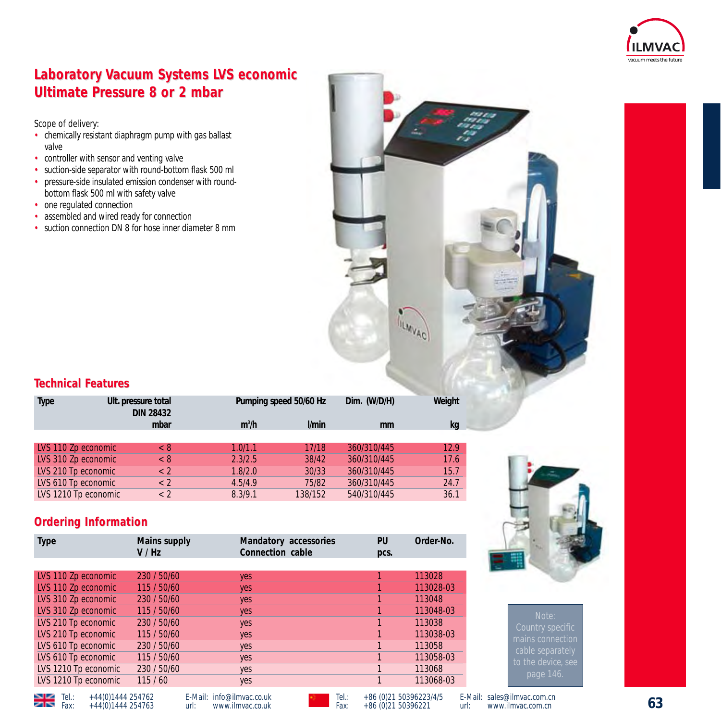

# **Laboratory Vacuum Systems LVS economic Ultimate Pressure 8 or 2 mbar**

Scope of delivery:

- chemically resistant diaphragm pump with gas ballast valve
- controller with sensor and venting valve
- suction-side separator with round-bottom flask 500 ml<br>• pressure-side insulated emission condenser with round-
- pressure-side insulated emission condenser with roundbottom flask 500 ml with safety valve
- one regulated connection
- assembled and wired ready for connection
- suction connection DN 8 for hose inner diameter 8 mm



## **Technical F echnical Features**

| Type                 | Ult. pressure total<br><b>DIN 28432</b> | Pumping speed 50/60 Hz |              | Dim. (W/D/H) | Weight |
|----------------------|-----------------------------------------|------------------------|--------------|--------------|--------|
|                      | mbar                                    | $m^3/h$                | <i>V</i> min | mm           | kg     |
|                      |                                         |                        |              |              |        |
| LVS 110 Zp economic  | < 8                                     | 1.0/1.1                | 17/18        | 360/310/445  | 12.9   |
| LVS 310 Zp economic  | < 8                                     | 2.3/2.5                | 38/42        | 360/310/445  | 17.6   |
| LVS 210 Tp economic  | $\langle$ 2                             | 1.8/2.0                | 30/33        | 360/310/445  | 15.7   |
| LVS 610 Tp economic  | $\langle$ 2                             | 4.5/4.9                | 75/82        | 360/310/445  | 24.7   |
| LVS 1210 Tp economic | < 2                                     | 8.3/9.1                | 138/152      | 540/310/445  | 36.1   |

## **Ordering Information**

| <b>Type</b>          | Mains supply<br>V / Hz | Mandatory accessories<br>Connection cable | PU<br>pcs. | Order-No. |
|----------------------|------------------------|-------------------------------------------|------------|-----------|
|                      |                        |                                           |            |           |
| LVS 110 Zp economic  | 230 / 50/60            | yes                                       |            | 113028    |
| LVS 110 Zp economic  | 115 / 50/60            | yes                                       |            | 113028-03 |
| LVS 310 Zp economic  | 230 / 50/60            | yes                                       |            | 113048    |
| LVS 310 Zp economic  | 115 / 50/60            | yes                                       |            | 113048-03 |
| LVS 210 Tp economic  | 230 / 50/60            | yes                                       |            | 113038    |
| LVS 210 Tp economic  | 115 / 50/60            | yes                                       |            | 113038-03 |
| LVS 610 Tp economic  | 230 / 50/60            | yes                                       |            | 113058    |
| LVS 610 Tp economic  | 115 / 50/60            | yes                                       |            | 113058-03 |
| LVS 1210 Tp economic | 230 / 50/60            | yes                                       |            | 113068    |
| LVS 1210 Tp economic | 115/60                 | yes                                       |            | 113068-03 |



Fel.: +44(0)1444 254762<br>Fax: +44(0)1444 254763

E-Mail: info@ilmvac.co.uk<br>url: www.ilmvac.co.uk url: www.ilmvac.co.uk

Tel.: +44(0)1444 254762 E-Mail: info@ilmvac.co.uk **Tel.: +86 (0)21 50396223/4/5 E-**Mail: sales@ilmvac.com.cn<br>Fax: +44(0)1444 254763 url: www.ilmvac.co.uk Fax: +86 (0)21 50396221 url: www.ilmvac.com.cn

E-Mail: sales@ilmvac.com.cn<br>url: www.ilmvac.com.cn www.ilmvac.com.cn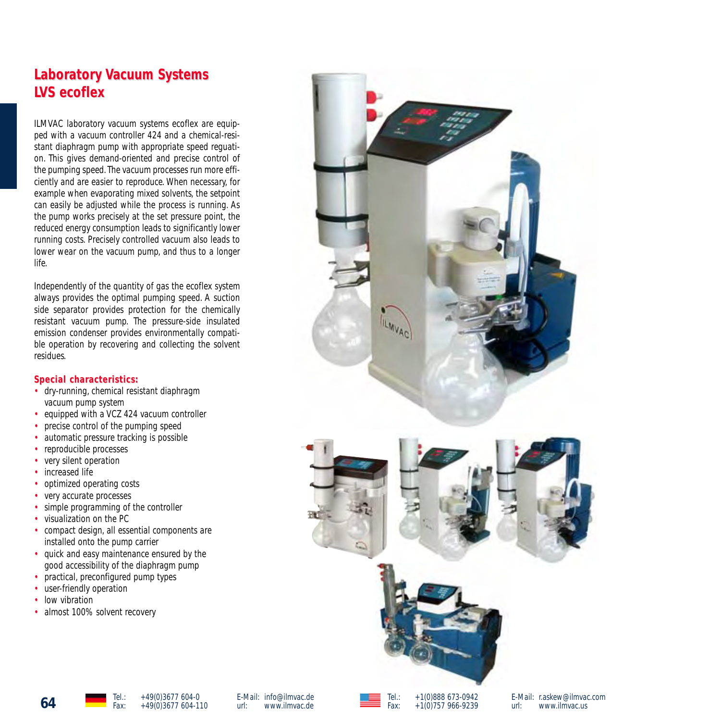# **Laboratory Vacuum Systems LVS ecoflex**

ILMVAC laboratory vacuum systems ecoflex are equipped with a vacuum controller 424 and a chemical-resistant diaphragm pump with appropriate speed reguation. This gives demand-oriented and precise control of the pumping speed.The vacuum processes run more efficiently and are easier to reproduce. When necessary, for example when evaporating mixed solvents, the setpoint can easily be adjusted while the process is running. As the pump works precisely at the set pressure point, the reduced energy consumption leads to significantly lower running costs. Precisely controlled vacuum also leads to lower wear on the vacuum pump, and thus to a longer life.

Independently of the quantity of gas the ecoflex system always provides the optimal pumping speed. A suction side separator provides protection for the chemically resistant vacuum pump. The pressure-side insulated emission condenser provides environmentally compatible operation by recovering and collecting the solvent residues.

#### $Special characteristics:$

- dry-running, chemical resistant diaphragm vacuum pump system
- equipped with a VCZ 424 vacuum controller
- precise control of the pumping speed
- automatic pressure tracking is possible
- reproducible processes
- very silent operation
- increased life
- optimized operating costs
- very accurate processes
- simple programming of the controller
- visualization on the PC
- compact design, all essential components are installed onto the pump carrier
- quick and easy maintenance ensured by the good accessibility of the diaphragm pump
- practical, preconfigured pump types
- user-friendly operation
- low vibration
- almost 100% solvent recovery







E-Mail: r.askew@ilmvac.com url: www.ilmvac.us



Tel.: +1(0)888 673-0942 Fax: +1(0)757 966-9239